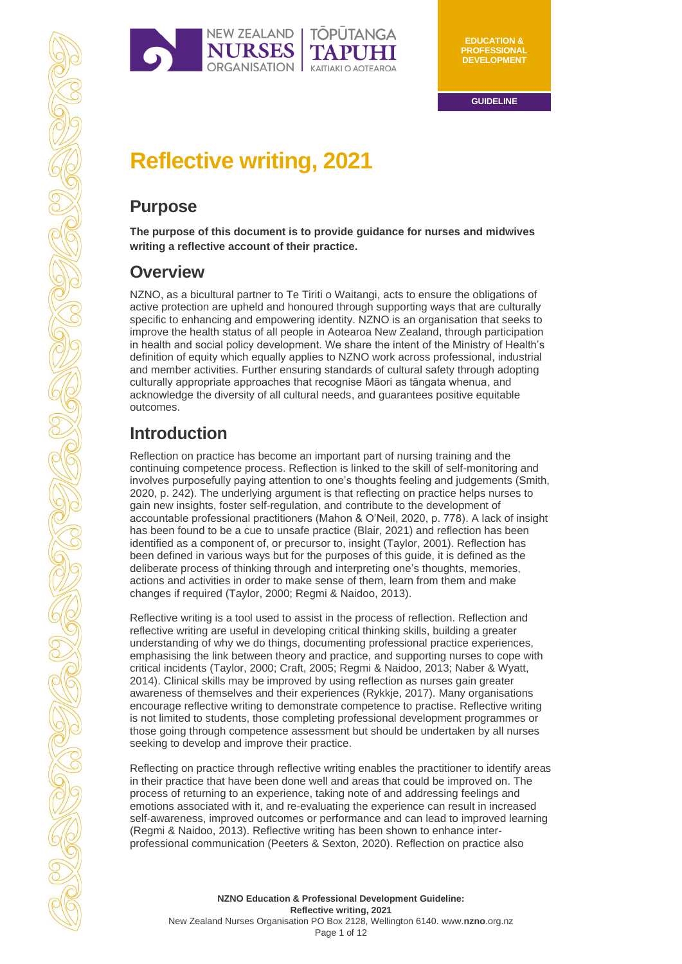

# **Reflective writing, 2021**

# **Purpose**

**The purpose of this document is to provide guidance for nurses and midwives writing a reflective account of their practice.** 

# **Overview**

NZNO, as a bicultural partner to Te Tiriti o Waitangi, acts to ensure the obligations of active protection are upheld and honoured through supporting ways that are culturally specific to enhancing and empowering identity. NZNO is an organisation that seeks to improve the health status of all people in Aotearoa New Zealand, through participation in health and social policy development. We share the intent of the Ministry of Health's definition of equity which equally applies to NZNO work across professional, industrial and member activities. Further ensuring standards of cultural safety through adopting culturally appropriate approaches that recognise Māori as tāngata whenua, and acknowledge the diversity of all cultural needs, and guarantees positive equitable outcomes.

# **Introduction**

Reflection on practice has become an important part of nursing training and the continuing competence process. Reflection is linked to the skill of self-monitoring and involves purposefully paying attention to one's thoughts feeling and judgements (Smith, 2020, p. 242). The underlying argument is that reflecting on practice helps nurses to gain new insights, foster self-regulation, and contribute to the development of accountable professional practitioners (Mahon & O'Neil, 2020, p. 778). A lack of insight has been found to be a cue to unsafe practice (Blair, 2021) and reflection has been identified as a component of, or precursor to, insight (Taylor, 2001). Reflection has been defined in various ways but for the purposes of this guide, it is defined as the deliberate process of thinking through and interpreting one's thoughts, memories, actions and activities in order to make sense of them, learn from them and make changes if required (Taylor, 2000; Regmi & Naidoo, 2013).

Reflective writing is a tool used to assist in the process of reflection. Reflection and reflective writing are useful in developing critical thinking skills, building a greater understanding of why we do things, documenting professional practice experiences, emphasising the link between theory and practice, and supporting nurses to cope with critical incidents (Taylor, 2000; Craft, 2005; Regmi & Naidoo, 2013; Naber & Wyatt, 2014). Clinical skills may be improved by using reflection as nurses gain greater awareness of themselves and their experiences (Rykkje, 2017). Many organisations encourage reflective writing to demonstrate competence to practise. Reflective writing is not limited to students, those completing professional development programmes or those going through competence assessment but should be undertaken by all nurses seeking to develop and improve their practice.

Reflecting on practice through reflective writing enables the practitioner to identify areas in their practice that have been done well and areas that could be improved on. The process of returning to an experience, taking note of and addressing feelings and emotions associated with it, and re-evaluating the experience can result in increased self-awareness, improved outcomes or performance and can lead to improved learning (Regmi & Naidoo, 2013). Reflective writing has been shown to enhance interprofessional communication (Peeters & Sexton, 2020). Reflection on practice also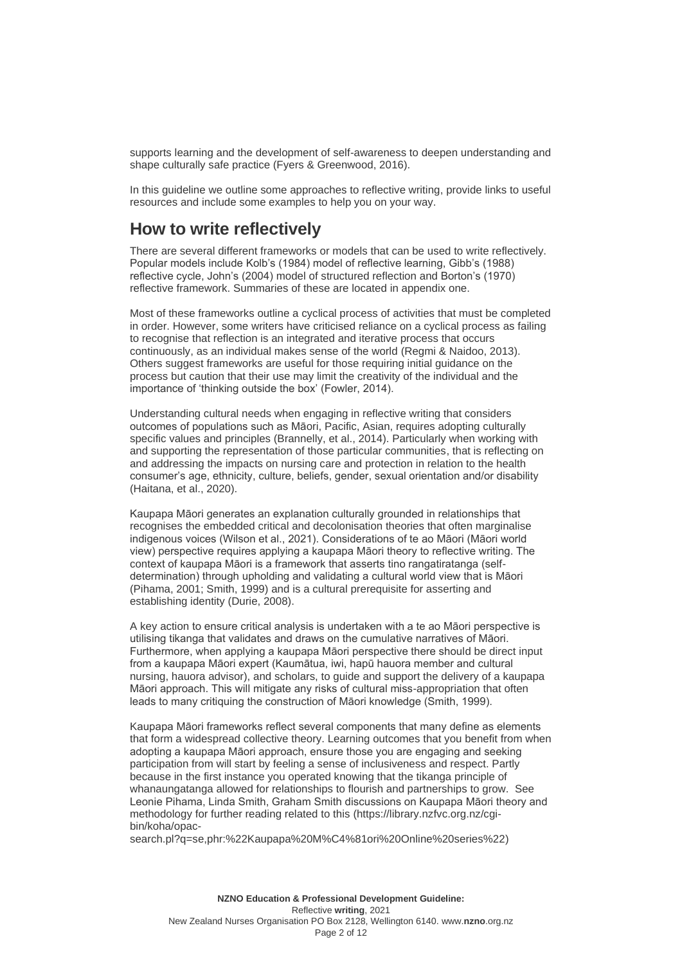supports learning and the development of self-awareness to deepen understanding and shape culturally safe practice (Fyers & Greenwood, 2016).

In this guideline we outline some approaches to reflective writing, provide links to useful resources and include some examples to help you on your way.

## **How to write reflectively**

There are several different frameworks or models that can be used to write reflectively. Popular models include Kolb's (1984) model of reflective learning, Gibb's (1988) reflective cycle, John's (2004) model of structured reflection and Borton's (1970) reflective framework. Summaries of these are located in appendix one.

Most of these frameworks outline a cyclical process of activities that must be completed in order. However, some writers have criticised reliance on a cyclical process as failing to recognise that reflection is an integrated and iterative process that occurs continuously, as an individual makes sense of the world (Regmi & Naidoo, 2013). Others suggest frameworks are useful for those requiring initial guidance on the process but caution that their use may limit the creativity of the individual and the importance of 'thinking outside the box' (Fowler, 2014).

Understanding cultural needs when engaging in reflective writing that considers outcomes of populations such as Māori, Pacific, Asian, requires adopting culturally specific values and principles (Brannelly, et al., 2014). Particularly when working with and supporting the representation of those particular communities, that is reflecting on and addressing the impacts on nursing care and protection in relation to the health consumer's age, ethnicity, culture, beliefs, gender, sexual orientation and/or disability (Haitana, et al., 2020).

Kaupapa Māori generates an explanation culturally grounded in relationships that recognises the embedded critical and decolonisation theories that often marginalise indigenous voices (Wilson et al., 2021). Considerations of te ao Māori (Māori world view) perspective requires applying a kaupapa Māori theory to reflective writing. The context of kaupapa Māori is a framework that asserts tino rangatiratanga (selfdetermination) through upholding and validating a cultural world view that is Māori (Pihama, 2001; Smith, 1999) and is a cultural prerequisite for asserting and establishing identity (Durie, 2008).

A key action to ensure critical analysis is undertaken with a te ao Māori perspective is utilising tikanga that validates and draws on the cumulative narratives of Māori. Furthermore, when applying a kaupapa Māori perspective there should be direct input from a kaupapa Māori expert (Kaumātua, iwi, hapū hauora member and cultural nursing, hauora advisor), and scholars, to guide and support the delivery of a kaupapa Māori approach. This will mitigate any risks of cultural miss-appropriation that often leads to many critiquing the construction of Māori knowledge (Smith, 1999).

Kaupapa Māori frameworks reflect several components that many define as elements that form a widespread collective theory. Learning outcomes that you benefit from when adopting a kaupapa Māori approach, ensure those you are engaging and seeking participation from will start by feeling a sense of inclusiveness and respect. Partly because in the first instance you operated knowing that the tikanga principle of whanaungatanga allowed for relationships to flourish and partnerships to grow. See Leonie Pihama, Linda Smith, Graham Smith discussions on Kaupapa Māori theory and methodology for further reading related to this [\(https://library.nzfvc.org.nz/cgi](https://library.nzfvc.org.nz/cgi-bin/koha/opac-search.pl?q=se,phr:%22Kaupapa%20M%C4%81ori%20Online%20series%22)[bin/koha/opac-](https://library.nzfvc.org.nz/cgi-bin/koha/opac-search.pl?q=se,phr:%22Kaupapa%20M%C4%81ori%20Online%20series%22)

[search.pl?q=se,phr:%22Kaupapa%20M%C4%81ori%20Online%20series%22\)](https://library.nzfvc.org.nz/cgi-bin/koha/opac-search.pl?q=se,phr:%22Kaupapa%20M%C4%81ori%20Online%20series%22)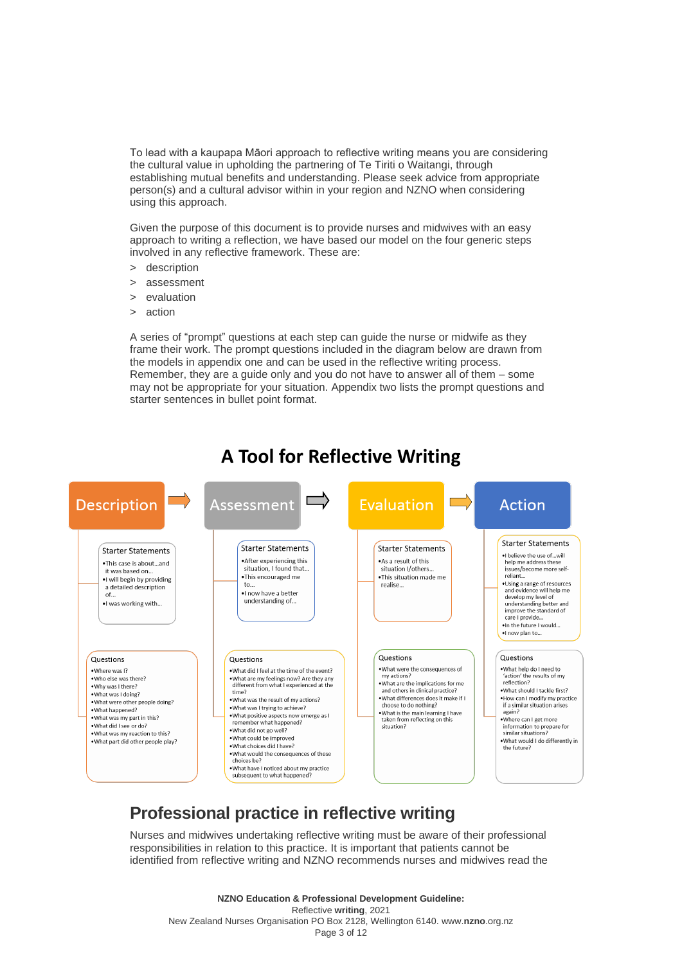To lead with a kaupapa Māori approach to reflective writing means you are considering the cultural value in upholding the partnering of Te Tiriti o Waitangi, through establishing mutual benefits and understanding. Please seek advice from appropriate person(s) and a cultural advisor within in your region and NZNO when considering using this approach.

Given the purpose of this document is to provide nurses and midwives with an easy approach to writing a reflection, we have based our model on the four generic steps involved in any reflective framework. These are:

- > description
- assessment
- evaluation
- > action

A series of "prompt" questions at each step can guide the nurse or midwife as they frame their work. The prompt questions included in the diagram below are drawn from the models in appendix one and can be used in the reflective writing process. Remember, they are a guide only and you do not have to answer all of them – some may not be appropriate for your situation. Appendix two lists the prompt questions and starter sentences in bullet point format.



# **A Tool for Reflective Writing**

# **Professional practice in reflective writing**

Nurses and midwives undertaking reflective writing must be aware of their professional responsibilities in relation to this practice. It is important that patients cannot be identified from reflective writing and NZNO recommends nurses and midwives read the

**NZNO Education & Professional Development Guideline:** Reflective **writing**, 2021 New Zealand Nurses Organisation PO Box 2128, Wellington 6140. www.**nzno**[.org.nz](http://www.nzno.org.nz/) Page 3 of 12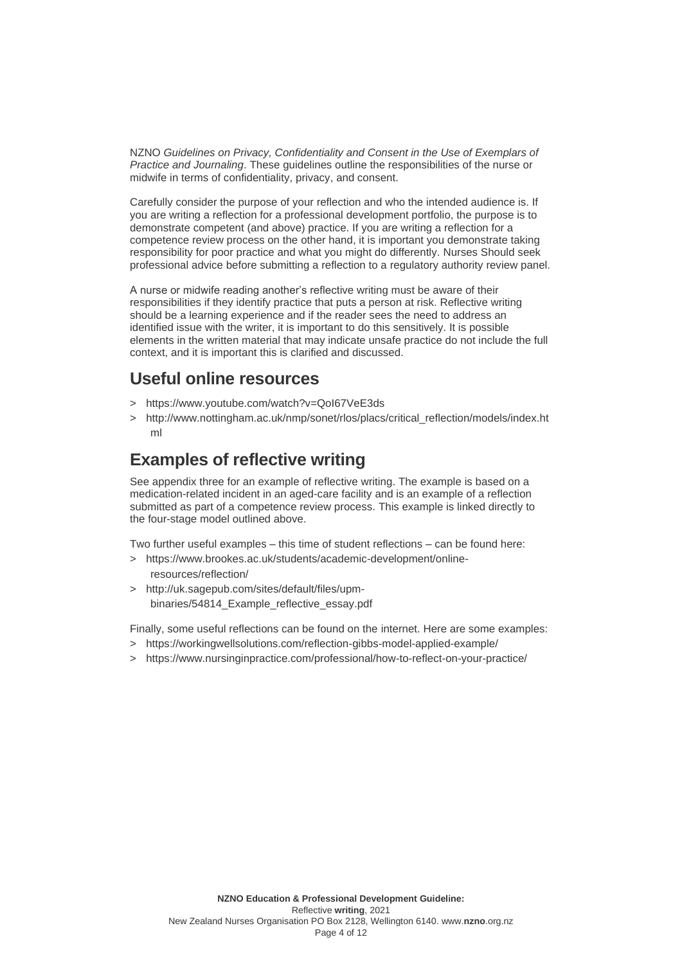NZNO *Guidelines on Privacy, Confidentiality and Consent in the Use of Exemplars of Practice and Journaling*. These guidelines outline the responsibilities of the nurse or midwife in terms of confidentiality, privacy, and consent.

Carefully consider the purpose of your reflection and who the intended audience is. If you are writing a reflection for a professional development portfolio, the purpose is to demonstrate competent (and above) practice. If you are writing a reflection for a competence review process on the other hand, it is important you demonstrate taking responsibility for poor practice and what you might do differently. Nurses Should seek professional advice before submitting a reflection to a regulatory authority review panel.

A nurse or midwife reading another's reflective writing must be aware of their responsibilities if they identify practice that puts a person at risk. Reflective writing should be a learning experience and if the reader sees the need to address an identified issue with the writer, it is important to do this sensitively. It is possible elements in the written material that may indicate unsafe practice do not include the full context, and it is important this is clarified and discussed.

# **Useful online resources**

- > <https://www.youtube.com/watch?v=QoI67VeE3ds>
- > [http://www.nottingham.ac.uk/nmp/sonet/rlos/placs/critical\\_reflection/models/index.ht](http://www.nottingham.ac.uk/nmp/sonet/rlos/placs/critical_reflection/models/index.html) [ml](http://www.nottingham.ac.uk/nmp/sonet/rlos/placs/critical_reflection/models/index.html)

# **Examples of reflective writing**

See appendix three for an example of reflective writing. The example is based on a medication-related incident in an aged-care facility and is an example of a reflection submitted as part of a competence review process. This example is linked directly to the four-stage model outlined above.

Two further useful examples – this time of student reflections – can be found here:

- > [https://www.brookes.ac.uk/students/academic-development/online](https://www.brookes.ac.uk/students/academic-development/online-resources/reflection/)[resources/reflection/](https://www.brookes.ac.uk/students/academic-development/online-resources/reflection/)
- > [http://uk.sagepub.com/sites/default/files/upm](http://uk.sagepub.com/sites/default/files/upm-binaries/54814_Example_reflective_essay.pdf)[binaries/54814\\_Example\\_reflective\\_essay.pdf](http://uk.sagepub.com/sites/default/files/upm-binaries/54814_Example_reflective_essay.pdf)

Finally, some useful reflections can be found on the internet. Here are some examples:

- > <https://workingwellsolutions.com/reflection-gibbs-model-applied-example/>
- > <https://www.nursinginpractice.com/professional/how-to-reflect-on-your-practice/>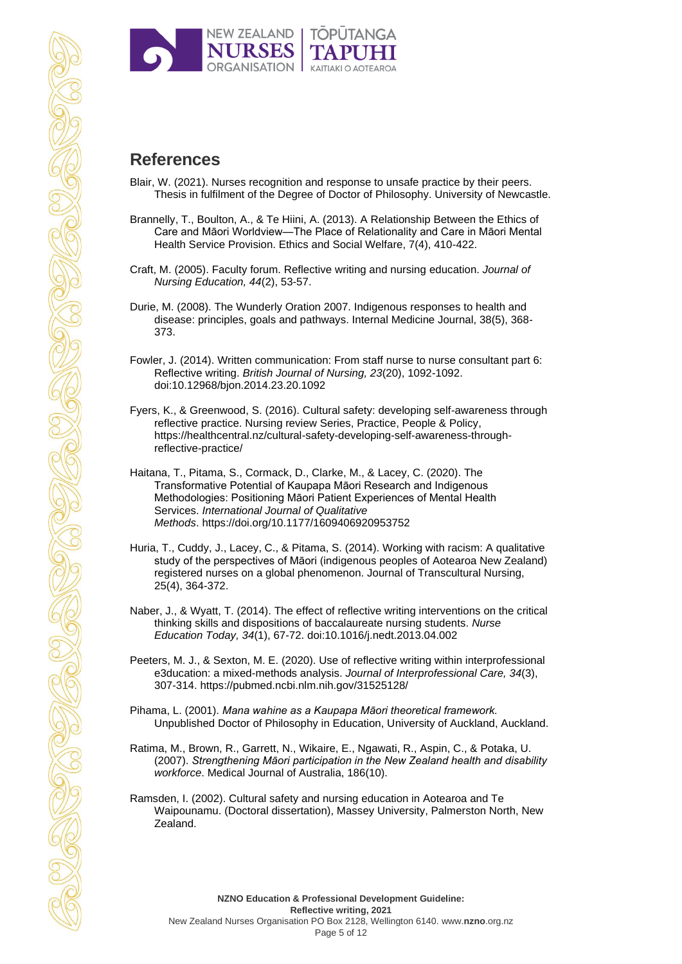

# **References**

- Blair, W. (2021). Nurses recognition and response to unsafe practice by their peers. Thesis in fulfilment of the Degree of Doctor of Philosophy. University of Newcastle.
- Brannelly, T., Boulton, A., & Te Hiini, A. (2013). A Relationship Between the Ethics of Care and Māori Worldview—The Place of Relationality and Care in Māori Mental Health Service Provision. Ethics and Social Welfare,  $7(4)$ , 410-422.
- Craft, M. (2005). Faculty forum. Reflective writing and nursing education. *Journal of Nursing Education, 44*(2), 53-57.
- Durie, M. (2008). The Wunderly Oration 2007. Indigenous responses to health and disease: principles, goals and pathways. Internal Medicine Journal, 38(5), 368- 373.
- Fowler, J. (2014). Written communication: From staff nurse to nurse consultant part 6: Reflective writing. *British Journal of Nursing, 23*(20), 1092-1092. doi:10.12968/bjon.2014.23.20.1092
- Fyers, K., & Greenwood, S. (2016). Cultural safety: developing self-awareness through reflective practice. Nursing review Series, Practice, People & Policy, [https://healthcentral.nz/cultural-safety-developing-self-awareness-through](https://healthcentral.nz/cultural-safety-developing-self-awareness-through-reflective-practice/)[reflective-practice/](https://healthcentral.nz/cultural-safety-developing-self-awareness-through-reflective-practice/)
- Haitana, T., Pitama, S., Cormack, D., Clarke, M., & Lacey, C. (2020). The Transformative Potential of Kaupapa Māori Research and Indigenous Methodologies: Positioning Māori Patient Experiences of Mental Health Services. *International Journal of Qualitative Methods*. <https://doi.org/10.1177/1609406920953752>
- Huria, T., Cuddy, J., Lacey, C., & Pitama, S. (2014). Working with racism: A qualitative study of the perspectives of Māori (indigenous peoples of Aotearoa New Zealand) registered nurses on a global phenomenon. Journal of Transcultural Nursing, 25(4), 364-372.
- Naber, J., & Wyatt, T. (2014). The effect of reflective writing interventions on the critical thinking skills and dispositions of baccalaureate nursing students. *Nurse Education Today, 34*(1), 67-72. doi:10.1016/j.nedt.2013.04.002
- Peeters, M. J., & Sexton, M. E. (2020). Use of reflective writing within interprofessional e3ducation: a mixed-methods analysis. *Journal of Interprofessional Care, 34*(3), 307-314.<https://pubmed.ncbi.nlm.nih.gov/31525128/>
- Pihama, L. (2001). *Mana wahine as a Kaupapa Māori theoretical framework.* Unpublished Doctor of Philosophy in Education, University of Auckland, Auckland.
- Ratima, M., Brown, R., Garrett, N., Wikaire, E., Ngawati, R., Aspin, C., & Potaka, U. (2007). *Strengthening Māori participation in the New Zealand health and disability workforce*. Medical Journal of Australia, 186(10).
- Ramsden, I. (2002). Cultural safety and nursing education in Aotearoa and Te Waipounamu. (Doctoral dissertation), Massey University, Palmerston North, New Zealand.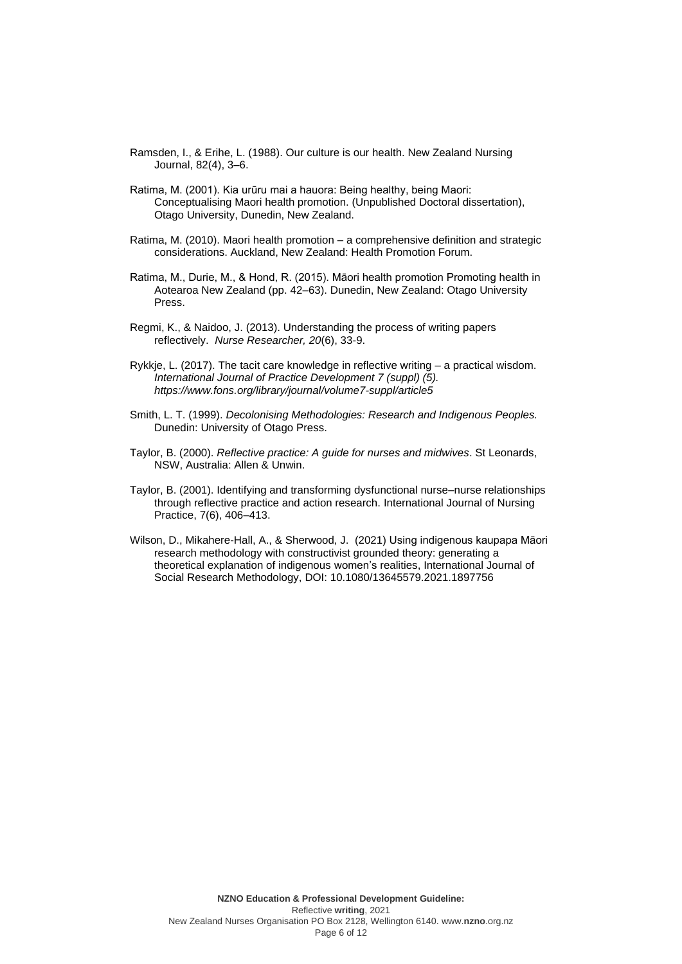- Ramsden, I., & Erihe, L. (1988). Our culture is our health. New Zealand Nursing Journal, 82(4), 3–6.
- Ratima, M. (2001). Kia urūru mai a hauora: Being healthy, being Maori: Conceptualising Maori health promotion. (Unpublished Doctoral dissertation), Otago University, Dunedin, New Zealand.
- Ratima, M. (2010). Maori health promotion a comprehensive definition and strategic considerations. Auckland, New Zealand: Health Promotion Forum.
- Ratima, M., Durie, M., & Hond, R. (2015). Māori health promotion Promoting health in Aotearoa New Zealand (pp. 42–63). Dunedin, New Zealand: Otago University Press.
- Regmi, K., & Naidoo, J. (2013). Understanding the process of writing papers reflectively. *Nurse Researcher, 20*(6), 33-9.
- Rykkje, L. (2017). The tacit care knowledge in reflective writing a practical wisdom. *International Journal of Practice Development 7 (suppl) (5). <https://www.fons.org/library/journal/volume7-suppl/article5>*
- Smith, L. T. (1999). *Decolonising Methodologies: Research and Indigenous Peoples.* Dunedin: University of Otago Press.
- Taylor, B. (2000). *Reflective practice: A guide for nurses and midwives*. St Leonards, NSW, Australia: Allen & Unwin.
- Taylor, B. (2001). Identifying and transforming dysfunctional nurse–nurse relationships through reflective practice and action research. International Journal of Nursing Practice, 7(6), 406–413.
- Wilson, D., Mikahere-Hall, A., & Sherwood, J. (2021) Using indigenous kaupapa Māori research methodology with constructivist grounded theory: generating a theoretical explanation of indigenous women's realities, International Journal of Social Research Methodology, DOI: [10.1080/13645579.2021.1897756](https://doi.org/10.1080/13645579.2021.1897756)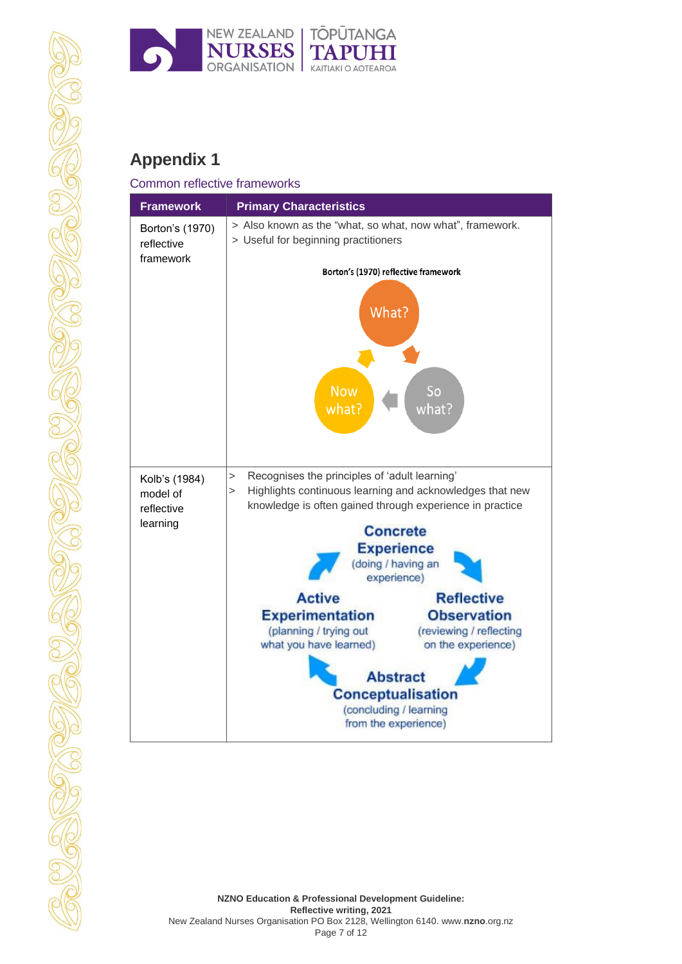

# **Appendix 1**

### Common reflective frameworks **Framework Primary Characteristics** > Also known as the "what, so what, now what", framework. Borton's (1970) > Useful for beginning practitioners reflective framework Borton's (1970) reflective framework What? **Now** So  $what?$ what  $\widehat{\cdot}$ > Recognises the principles of 'adult learning' Kolb's (1984) Highlights continuous learning and acknowledges that new model of knowledge is often gained through experience in practicereflective learning **Concrete Experience** (doing / having an experience) **Active Reflective Experimentation Observation** (planning / trying out (reviewing / reflecting what you have learned) on the experience) **Abstract Conceptualisation** (concluding / learning from the experience)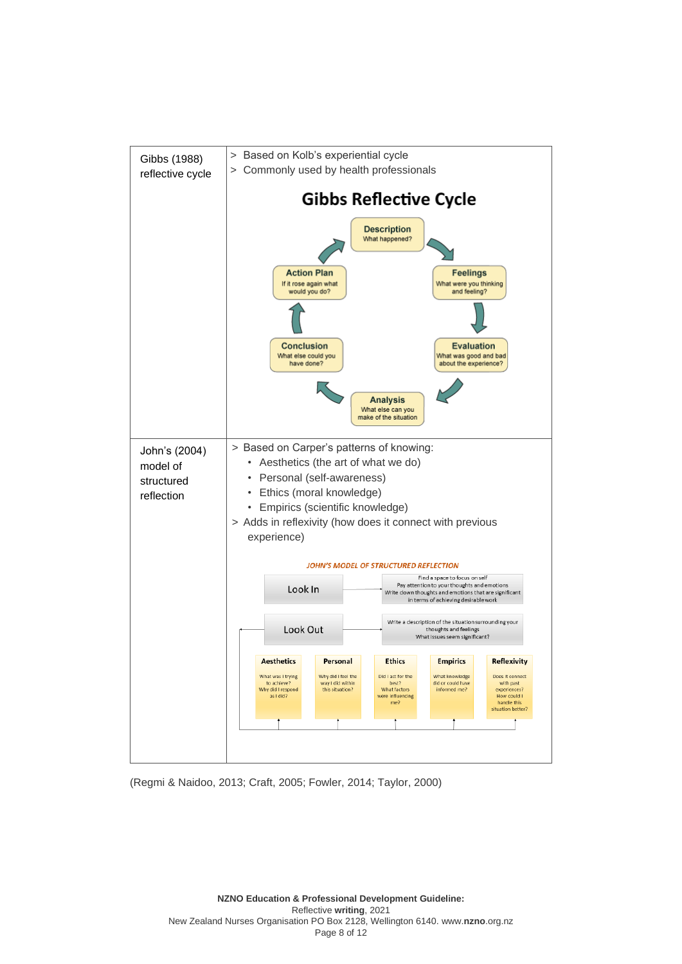

(Regmi & Naidoo, 2013; Craft, 2005; Fowler, 2014; Taylor, 2000)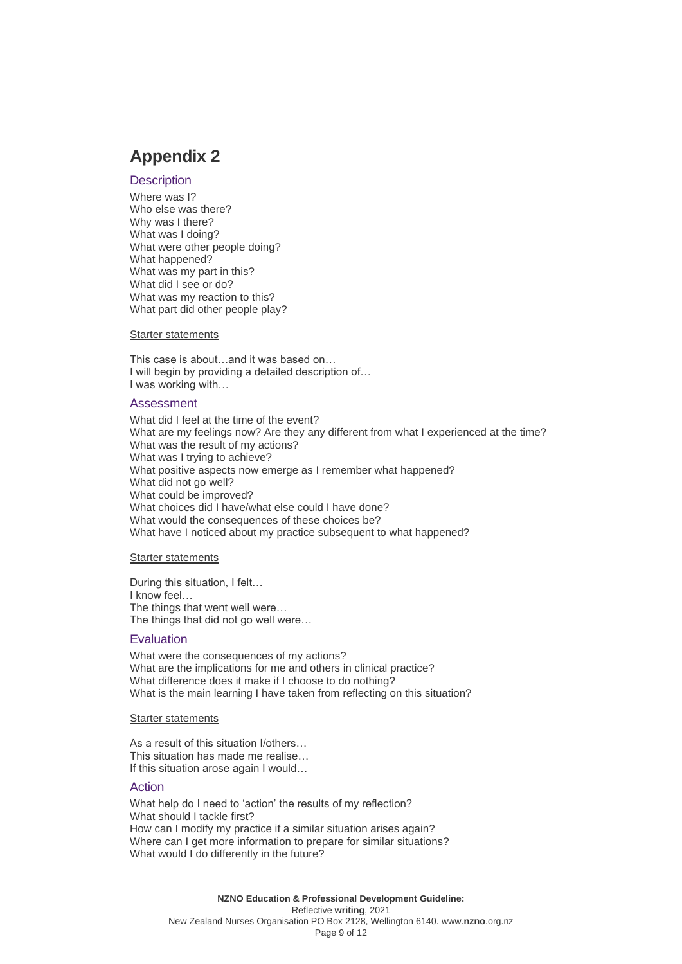# **Appendix 2**

### **Description**

Where was I? Who else was there? Why was I there? What was I doing? What were other people doing? What happened? What was my part in this? What did I see or do? What was my reaction to this? What part did other people play?

### Starter statements

This case is about…and it was based on… I will begin by providing a detailed description of… I was working with…

### Assessment

What did I feel at the time of the event? What are my feelings now? Are they any different from what I experienced at the time? What was the result of my actions? What was I trying to achieve? What positive aspects now emerge as I remember what happened? What did not go well? What could be improved? What choices did I have/what else could I have done? What would the consequences of these choices be? What have I noticed about my practice subsequent to what happened?

### Starter statements

During this situation, I felt… I know feel… The things that went well were… The things that did not go well were…

### **Evaluation**

What were the consequences of my actions? What are the implications for me and others in clinical practice? What difference does it make if I choose to do nothing? What is the main learning I have taken from reflecting on this situation?

### Starter statements

As a result of this situation I/others… This situation has made me realise… If this situation arose again I would…

### **Action**

What help do I need to 'action' the results of my reflection? What should I tackle first? How can I modify my practice if a similar situation arises again? Where can I get more information to prepare for similar situations? What would I do differently in the future?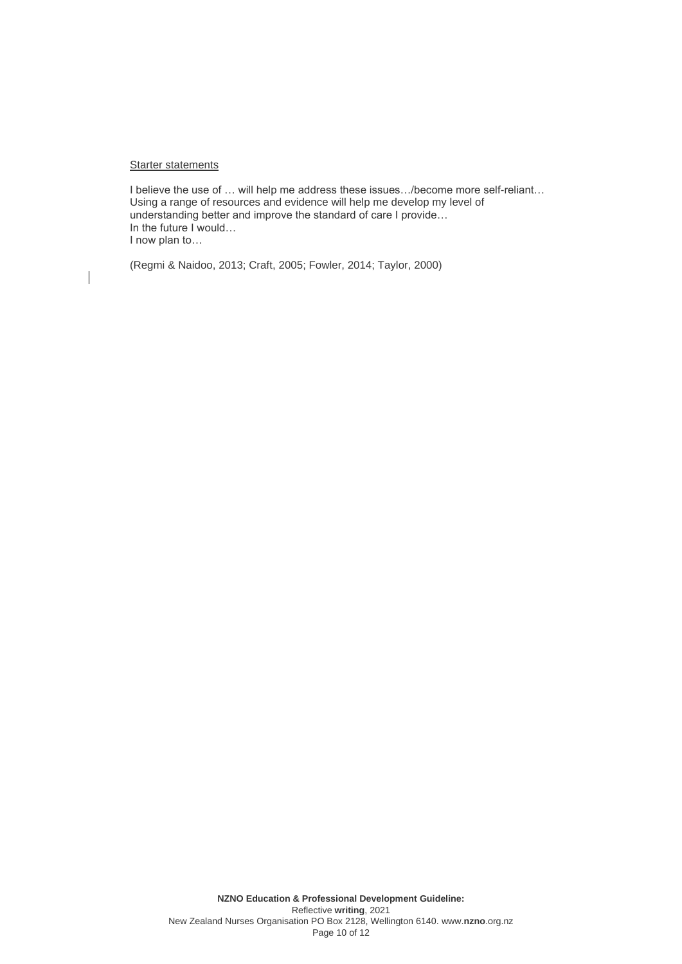### **Starter statements**

 $\overline{\phantom{a}}$ 

I believe the use of … will help me address these issues…/become more self-reliant… Using a range of resources and evidence will help me develop my level of understanding better and improve the standard of care I provide… In the future I would… I now plan to…

(Regmi & Naidoo, 2013; Craft, 2005; Fowler, 2014; Taylor, 2000)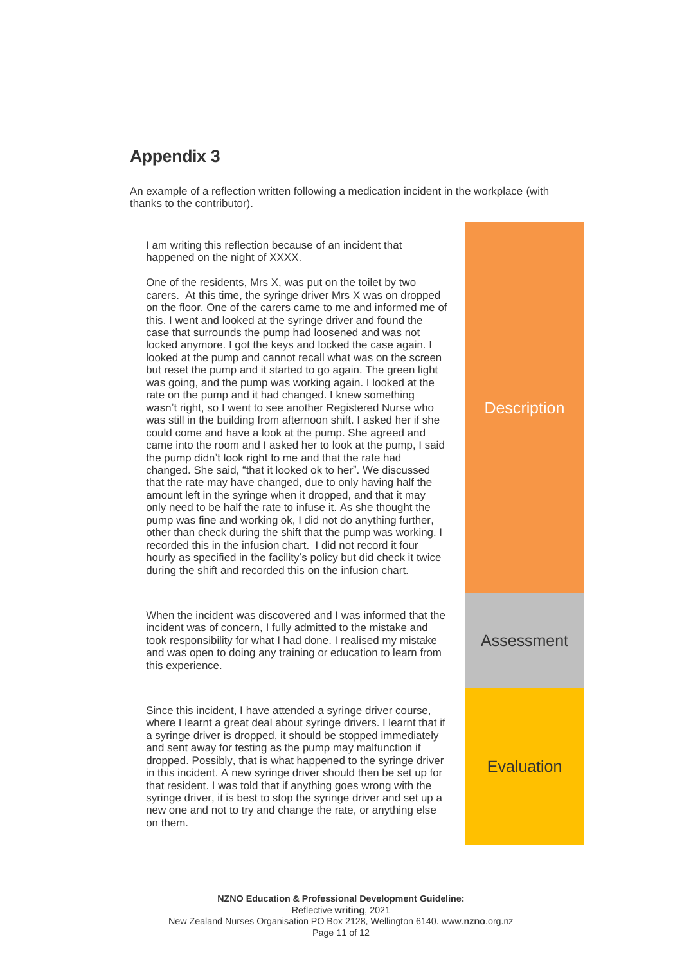# **Appendix 3**

An example of a reflection written following a medication incident in the workplace (with thanks to the contributor).

I am writing this reflection because of an incident that happened on the night of XXXX.

One of the residents, Mrs X, was put on the toilet by two carers. At this time, the syringe driver Mrs X was on dropped on the floor. One of the carers came to me and informed me of this. I went and looked at the syringe driver and found the case that surrounds the pump had loosened and was not locked anymore. I got the keys and locked the case again. I looked at the pump and cannot recall what was on the screen but reset the pump and it started to go again. The green light was going, and the pump was working again. I looked at the rate on the pump and it had changed. I knew something wasn't right, so I went to see another Registered Nurse who was still in the building from afternoon shift. I asked her if she could come and have a look at the pump. She agreed and came into the room and I asked her to look at the pump, I said the pump didn't look right to me and that the rate had changed. She said, "that it looked ok to her". We discussed that the rate may have changed, due to only having half the amount left in the syringe when it dropped, and that it may only need to be half the rate to infuse it. As she thought the pump was fine and working ok, I did not do anything further, other than check during the shift that the pump was working. I recorded this in the infusion chart. I did not record it four hourly as specified in the facility's policy but did check it twice during the shift and recorded this on the infusion chart.

When the incident was discovered and I was informed that the incident was of concern, I fully admitted to the mistake and took responsibility for what I had done. I realised my mistake and was open to doing any training or education to learn from this experience.

Since this incident, I have attended a syringe driver course, where I learnt a great deal about syringe drivers. I learnt that if a syringe driver is dropped, it should be stopped immediately and sent away for testing as the pump may malfunction if dropped. Possibly, that is what happened to the syringe driver in this incident. A new syringe driver should then be set up for that resident. I was told that if anything goes wrong with the syringe driver, it is best to stop the syringe driver and set up a new one and not to try and change the rate, or anything else on them.

# **Description** Assessment **Evaluation**